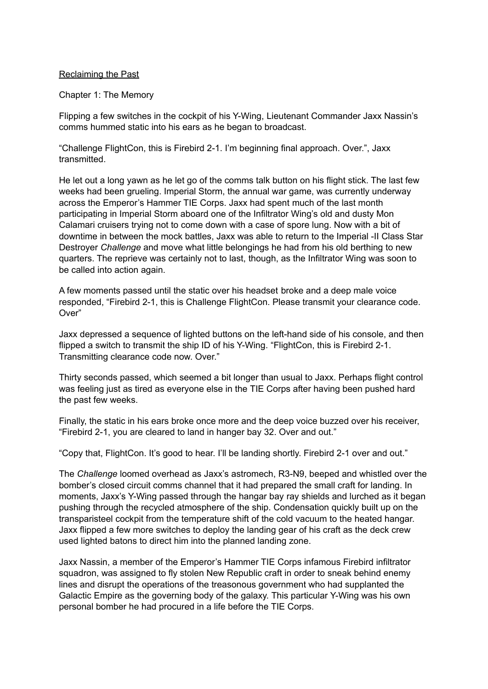#### Reclaiming the Past

#### Chapter 1: The Memory

Flipping a few switches in the cockpit of his Y-Wing, Lieutenant Commander Jaxx Nassin's comms hummed static into his ears as he began to broadcast.

"Challenge FlightCon, this is Firebird 2-1. I'm beginning final approach. Over.", Jaxx transmitted.

He let out a long yawn as he let go of the comms talk button on his flight stick. The last few weeks had been grueling. Imperial Storm, the annual war game, was currently underway across the Emperor's Hammer TIE Corps. Jaxx had spent much of the last month participating in Imperial Storm aboard one of the Infiltrator Wing's old and dusty Mon Calamari cruisers trying not to come down with a case of spore lung. Now with a bit of downtime in between the mock battles, Jaxx was able to return to the Imperial -II Class Star Destroyer *Challenge* and move what little belongings he had from his old berthing to new quarters. The reprieve was certainly not to last, though, as the Infiltrator Wing was soon to be called into action again.

A few moments passed until the static over his headset broke and a deep male voice responded, "Firebird 2-1, this is Challenge FlightCon. Please transmit your clearance code. Over"

Jaxx depressed a sequence of lighted buttons on the left-hand side of his console, and then flipped a switch to transmit the ship ID of his Y-Wing. "FlightCon, this is Firebird 2-1. Transmitting clearance code now. Over."

Thirty seconds passed, which seemed a bit longer than usual to Jaxx. Perhaps flight control was feeling just as tired as everyone else in the TIE Corps after having been pushed hard the past few weeks.

Finally, the static in his ears broke once more and the deep voice buzzed over his receiver, "Firebird 2-1, you are cleared to land in hanger bay 32. Over and out."

"Copy that, FlightCon. It's good to hear. I'll be landing shortly. Firebird 2-1 over and out."

The *Challenge* loomed overhead as Jaxx's astromech, R3-N9, beeped and whistled over the bomber's closed circuit comms channel that it had prepared the small craft for landing. In moments, Jaxx's Y-Wing passed through the hangar bay ray shields and lurched as it began pushing through the recycled atmosphere of the ship. Condensation quickly built up on the transparisteel cockpit from the temperature shift of the cold vacuum to the heated hangar. Jaxx flipped a few more switches to deploy the landing gear of his craft as the deck crew used lighted batons to direct him into the planned landing zone.

Jaxx Nassin, a member of the Emperor's Hammer TIE Corps infamous Firebird infiltrator squadron, was assigned to fly stolen New Republic craft in order to sneak behind enemy lines and disrupt the operations of the treasonous government who had supplanted the Galactic Empire as the governing body of the galaxy. This particular Y-Wing was his own personal bomber he had procured in a life before the TIE Corps.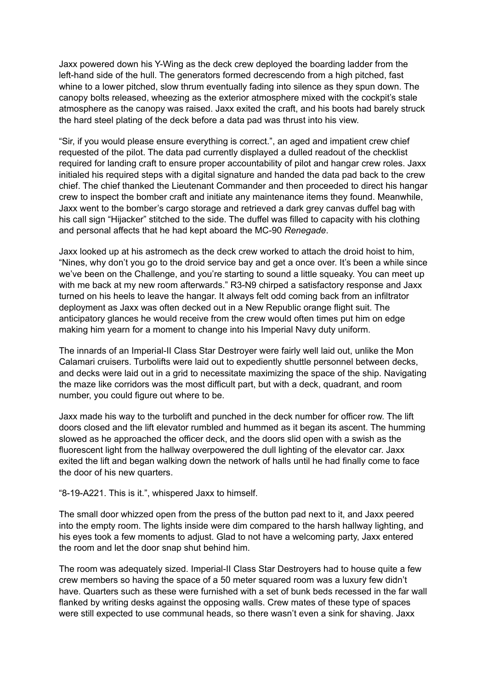Jaxx powered down his Y-Wing as the deck crew deployed the boarding ladder from the left-hand side of the hull. The generators formed decrescendo from a high pitched, fast whine to a lower pitched, slow thrum eventually fading into silence as they spun down. The canopy bolts released, wheezing as the exterior atmosphere mixed with the cockpit's stale atmosphere as the canopy was raised. Jaxx exited the craft, and his boots had barely struck the hard steel plating of the deck before a data pad was thrust into his view.

"Sir, if you would please ensure everything is correct.", an aged and impatient crew chief requested of the pilot. The data pad currently displayed a dulled readout of the checklist required for landing craft to ensure proper accountability of pilot and hangar crew roles. Jaxx initialed his required steps with a digital signature and handed the data pad back to the crew chief. The chief thanked the Lieutenant Commander and then proceeded to direct his hangar crew to inspect the bomber craft and initiate any maintenance items they found. Meanwhile, Jaxx went to the bomber's cargo storage and retrieved a dark grey canvas duffel bag with his call sign "Hijacker" stitched to the side. The duffel was filled to capacity with his clothing and personal affects that he had kept aboard the MC-90 *Renegade*.

Jaxx looked up at his astromech as the deck crew worked to attach the droid hoist to him, "Nines, why don't you go to the droid service bay and get a once over. It's been a while since we've been on the Challenge, and you're starting to sound a little squeaky. You can meet up with me back at my new room afterwards." R3-N9 chirped a satisfactory response and Jaxx turned on his heels to leave the hangar. It always felt odd coming back from an infiltrator deployment as Jaxx was often decked out in a New Republic orange flight suit. The anticipatory glances he would receive from the crew would often times put him on edge making him yearn for a moment to change into his Imperial Navy duty uniform.

The innards of an Imperial-II Class Star Destroyer were fairly well laid out, unlike the Mon Calamari cruisers. Turbolifts were laid out to expediently shuttle personnel between decks, and decks were laid out in a grid to necessitate maximizing the space of the ship. Navigating the maze like corridors was the most difficult part, but with a deck, quadrant, and room number, you could figure out where to be.

Jaxx made his way to the turbolift and punched in the deck number for officer row. The lift doors closed and the lift elevator rumbled and hummed as it began its ascent. The humming slowed as he approached the officer deck, and the doors slid open with a swish as the fluorescent light from the hallway overpowered the dull lighting of the elevator car. Jaxx exited the lift and began walking down the network of halls until he had finally come to face the door of his new quarters.

"8-19-A221. This is it.", whispered Jaxx to himself.

The small door whizzed open from the press of the button pad next to it, and Jaxx peered into the empty room. The lights inside were dim compared to the harsh hallway lighting, and his eyes took a few moments to adjust. Glad to not have a welcoming party, Jaxx entered the room and let the door snap shut behind him.

The room was adequately sized. Imperial-II Class Star Destroyers had to house quite a few crew members so having the space of a 50 meter squared room was a luxury few didn't have. Quarters such as these were furnished with a set of bunk beds recessed in the far wall flanked by writing desks against the opposing walls. Crew mates of these type of spaces were still expected to use communal heads, so there wasn't even a sink for shaving. Jaxx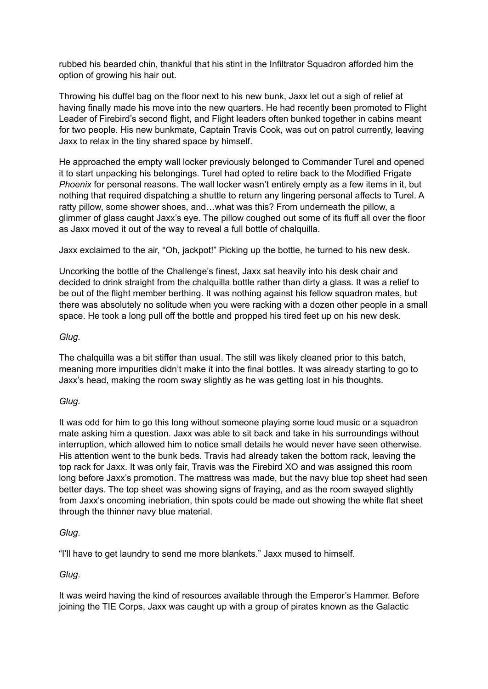rubbed his bearded chin, thankful that his stint in the Infiltrator Squadron afforded him the option of growing his hair out.

Throwing his duffel bag on the floor next to his new bunk, Jaxx let out a sigh of relief at having finally made his move into the new quarters. He had recently been promoted to Flight Leader of Firebird's second flight, and Flight leaders often bunked together in cabins meant for two people. His new bunkmate, Captain Travis Cook, was out on patrol currently, leaving Jaxx to relax in the tiny shared space by himself.

He approached the empty wall locker previously belonged to Commander Turel and opened it to start unpacking his belongings. Turel had opted to retire back to the Modified Frigate *Phoenix* for personal reasons. The wall locker wasn't entirely empty as a few items in it, but nothing that required dispatching a shuttle to return any lingering personal affects to Turel. A ratty pillow, some shower shoes, and…what was this? From underneath the pillow, a glimmer of glass caught Jaxx's eye. The pillow coughed out some of its fluff all over the floor as Jaxx moved it out of the way to reveal a full bottle of chalquilla.

Jaxx exclaimed to the air, "Oh, jackpot!" Picking up the bottle, he turned to his new desk.

Uncorking the bottle of the Challenge's finest, Jaxx sat heavily into his desk chair and decided to drink straight from the chalquilla bottle rather than dirty a glass. It was a relief to be out of the flight member berthing. It was nothing against his fellow squadron mates, but there was absolutely no solitude when you were racking with a dozen other people in a small space. He took a long pull off the bottle and propped his tired feet up on his new desk.

## *Glug.*

The chalquilla was a bit stiffer than usual. The still was likely cleaned prior to this batch, meaning more impurities didn't make it into the final bottles. It was already starting to go to Jaxx's head, making the room sway slightly as he was getting lost in his thoughts.

### *Glug.*

It was odd for him to go this long without someone playing some loud music or a squadron mate asking him a question. Jaxx was able to sit back and take in his surroundings without interruption, which allowed him to notice small details he would never have seen otherwise. His attention went to the bunk beds. Travis had already taken the bottom rack, leaving the top rack for Jaxx. It was only fair, Travis was the Firebird XO and was assigned this room long before Jaxx's promotion. The mattress was made, but the navy blue top sheet had seen better days. The top sheet was showing signs of fraying, and as the room swayed slightly from Jaxx's oncoming inebriation, thin spots could be made out showing the white flat sheet through the thinner navy blue material.

### *Glug.*

"I'll have to get laundry to send me more blankets." Jaxx mused to himself.

# *Glug.*

It was weird having the kind of resources available through the Emperor's Hammer. Before joining the TIE Corps, Jaxx was caught up with a group of pirates known as the Galactic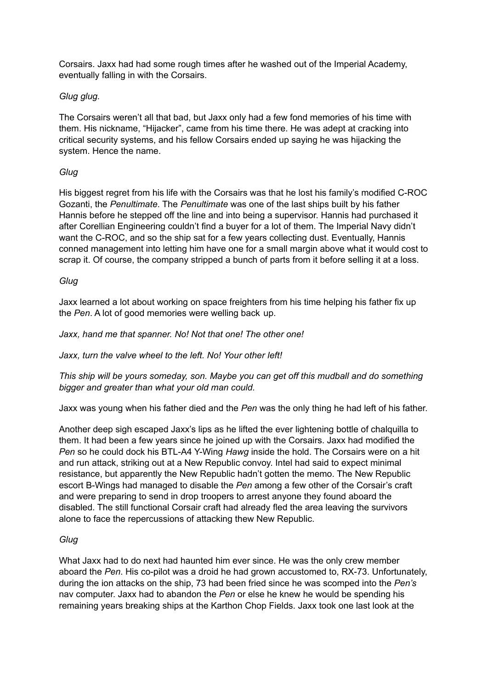Corsairs. Jaxx had had some rough times after he washed out of the Imperial Academy, eventually falling in with the Corsairs.

## *Glug glug.*

The Corsairs weren't all that bad, but Jaxx only had a few fond memories of his time with them. His nickname, "Hijacker", came from his time there. He was adept at cracking into critical security systems, and his fellow Corsairs ended up saying he was hijacking the system. Hence the name.

## *Glug*

His biggest regret from his life with the Corsairs was that he lost his family's modified C-ROC Gozanti, the *Penultimate*. The *Penultimate* was one of the last ships built by his father Hannis before he stepped off the line and into being a supervisor. Hannis had purchased it after Corellian Engineering couldn't find a buyer for a lot of them. The Imperial Navy didn't want the C-ROC, and so the ship sat for a few years collecting dust. Eventually, Hannis conned management into letting him have one for a small margin above what it would cost to scrap it. Of course, the company stripped a bunch of parts from it before selling it at a loss.

### *Glug*

Jaxx learned a lot about working on space freighters from his time helping his father fix up the *Pen*. A lot of good memories were welling back up.

### *Jaxx, hand me that spanner. No! Not that one! The other one!*

*Jaxx, turn the valve wheel to the left. No! Your other left!*

*This ship will be yours someday, son. Maybe you can get off this mudball and do something bigger and greater than what your old man could.*

Jaxx was young when his father died and the *Pen* was the only thing he had left of his father.

Another deep sigh escaped Jaxx's lips as he lifted the ever lightening bottle of chalquilla to them. It had been a few years since he joined up with the Corsairs. Jaxx had modified the *Pen* so he could dock his BTL-A4 Y-Wing *Hawg* inside the hold. The Corsairs were on a hit and run attack, striking out at a New Republic convoy. Intel had said to expect minimal resistance, but apparently the New Republic hadn't gotten the memo. The New Republic escort B-Wings had managed to disable the *Pen* among a few other of the Corsair's craft and were preparing to send in drop troopers to arrest anyone they found aboard the disabled. The still functional Corsair craft had already fled the area leaving the survivors alone to face the repercussions of attacking thew New Republic.

### *Glug*

What Jaxx had to do next had haunted him ever since. He was the only crew member aboard the *Pen*. His co-pilot was a droid he had grown accustomed to, RX-73. Unfortunately, during the ion attacks on the ship, 73 had been fried since he was scomped into the *Pen's* nav computer. Jaxx had to abandon the *Pen* or else he knew he would be spending his remaining years breaking ships at the Karthon Chop Fields. Jaxx took one last look at the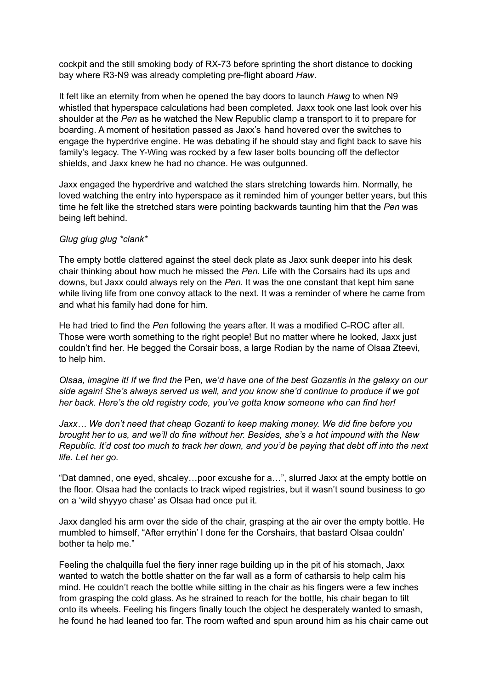cockpit and the still smoking body of RX-73 before sprinting the short distance to docking bay where R3-N9 was already completing pre-flight aboard *Haw*.

It felt like an eternity from when he opened the bay doors to launch *Hawg* to when N9 whistled that hyperspace calculations had been completed. Jaxx took one last look over his shoulder at the *Pen* as he watched the New Republic clamp a transport to it to prepare for boarding. A moment of hesitation passed as Jaxx's hand hovered over the switches to engage the hyperdrive engine. He was debating if he should stay and fight back to save his family's legacy. The Y-Wing was rocked by a few laser bolts bouncing off the deflector shields, and Jaxx knew he had no chance. He was outgunned.

Jaxx engaged the hyperdrive and watched the stars stretching towards him. Normally, he loved watching the entry into hyperspace as it reminded him of younger better years, but this time he felt like the stretched stars were pointing backwards taunting him that the *Pen* was being left behind.

#### *Glug glug glug \*clank\**

The empty bottle clattered against the steel deck plate as Jaxx sunk deeper into his desk chair thinking about how much he missed the *Pen*. Life with the Corsairs had its ups and downs, but Jaxx could always rely on the *Pen*. It was the one constant that kept him sane while living life from one convoy attack to the next. It was a reminder of where he came from and what his family had done for him.

He had tried to find the *Pen* following the years after. It was a modified C-ROC after all. Those were worth something to the right people! But no matter where he looked, Jaxx just couldn't find her. He begged the Corsair boss, a large Rodian by the name of Olsaa Zteevi, to help him.

Olsaa, imagine it! If we find the Pen, we'd have one of the best Gozantis in the galaxy on our *side again! She's always served us well, and you know she'd continue to produce if we got her back. Here's the old registry code, you've gotta know someone who can find her!*

*Jaxx… We don't need that cheap Gozanti to keep making money. We did fine before you brought her to us, and we'll do fine without her. Besides, she's a hot impound with the New* Republic. It'd cost too much to track her down, and you'd be paying that debt off into the next *life. Let her go.*

"Dat damned, one eyed, shcaley…poor excushe for a…", slurred Jaxx at the empty bottle on the floor. Olsaa had the contacts to track wiped registries, but it wasn't sound business to go on a 'wild shyyyo chase' as Olsaa had once put it.

Jaxx dangled his arm over the side of the chair, grasping at the air over the empty bottle. He mumbled to himself, "After errythin' I done fer the Corshairs, that bastard Olsaa couldn' bother ta help me."

Feeling the chalquilla fuel the fiery inner rage building up in the pit of his stomach, Jaxx wanted to watch the bottle shatter on the far wall as a form of catharsis to help calm his mind. He couldn't reach the bottle while sitting in the chair as his fingers were a few inches from grasping the cold glass. As he strained to reach for the bottle, his chair began to tilt onto its wheels. Feeling his fingers finally touch the object he desperately wanted to smash, he found he had leaned too far. The room wafted and spun around him as his chair came out